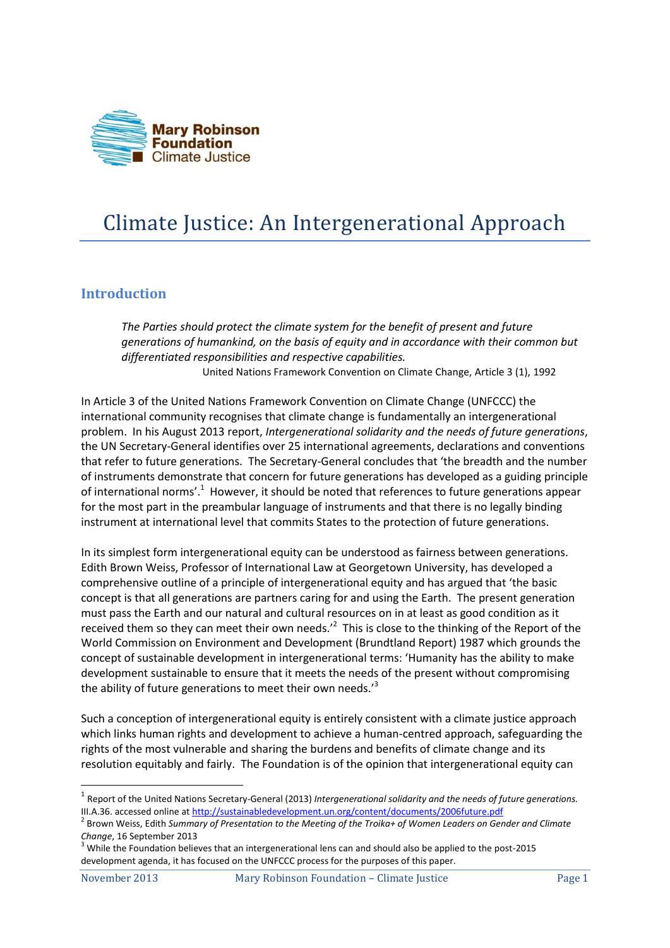

## Climate Justice: An Intergenerational Approach

## **Introduction**

*The Parties should protect the climate system for the benefit of present and future generations of humankind, on the basis of equity and in accordance with their common but differentiated responsibilities and respective capabilities.*  United Nations Framework Convention on Climate Change, Article 3 (1), 1992

In Article 3 of the United Nations Framework Convention on Climate Change (UNFCCC) the international community recognises that climate change is fundamentally an intergenerational problem. In his August 2013 report, *Intergenerational solidarity and the needs of future generations*, the UN Secretary-General identifies over 25 international agreements, declarations and conventions that refer to future generations. The Secretary-General concludes that 'the breadth and the number of instruments demonstrate that concern for future generations has developed as a guiding principle of international norms'.<sup>1</sup> However, it should be noted that references to future generations appear for the most part in the preambular language of instruments and that there is no legally binding instrument at international level that commits States to the protection of future generations.

In its simplest form intergenerational equity can be understood as fairness between generations. Edith Brown Weiss, Professor of International Law at Georgetown University, has developed a comprehensive outline of a principle of intergenerational equity and has argued that 'the basic concept is that all generations are partners caring for and using the Earth. The present generation must pass the Earth and our natural and cultural resources on in at least as good condition as it received them so they can meet their own needs.<sup>2</sup> This is close to the thinking of the Report of the World Commission on Environment and Development (Brundtland Report) 1987 which grounds the concept of sustainable development in intergenerational terms: 'Humanity has the ability to make development sustainable to ensure that it meets the needs of the present without compromising the ability of future generations to meet their own needs.<sup>3</sup>

Such a conception of intergenerational equity is entirely consistent with a climate justice approach which links human rights and development to achieve a human-centred approach, safeguarding the rights of the most vulnerable and sharing the burdens and benefits of climate change and its resolution equitably and fairly. The Foundation is of the opinion that intergenerational equity can

**.** 

<sup>1</sup> Report of the United Nations Secretary-General (2013) *Intergenerational solidarity and the needs of future generations.* III.A.36. accessed online at<http://sustainabledevelopment.un.org/content/documents/2006future.pdf>

<sup>2</sup> Brown Weiss, Edith *Summary of Presentation to the Meeting of the Troika+ of Women Leaders on Gender and Climate Change*, 16 September 2013

 $3$  While the Foundation believes that an intergenerational lens can and should also be applied to the post-2015 development agenda, it has focused on the UNFCCC process for the purposes of this paper.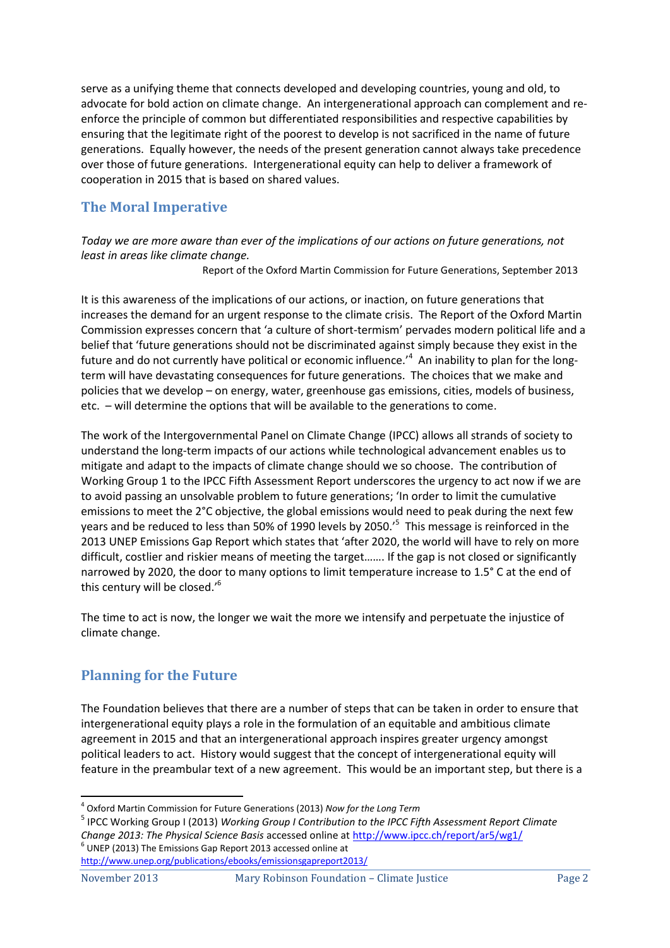serve as a unifying theme that connects developed and developing countries, young and old, to advocate for bold action on climate change. An intergenerational approach can complement and reenforce the principle of common but differentiated responsibilities and respective capabilities by ensuring that the legitimate right of the poorest to develop is not sacrificed in the name of future generations. Equally however, the needs of the present generation cannot always take precedence over those of future generations. Intergenerational equity can help to deliver a framework of cooperation in 2015 that is based on shared values.

## **The Moral Imperative**

*Today we are more aware than ever of the implications of our actions on future generations, not least in areas like climate change.*

Report of the Oxford Martin Commission for Future Generations, September 2013

It is this awareness of the implications of our actions, or inaction, on future generations that increases the demand for an urgent response to the climate crisis. The Report of the Oxford Martin Commission expresses concern that 'a culture of short-termism' pervades modern political life and a belief that 'future generations should not be discriminated against simply because they exist in the future and do not currently have political or economic influence.<sup>'4</sup> An inability to plan for the longterm will have devastating consequences for future generations. The choices that we make and policies that we develop – on energy, water, greenhouse gas emissions, cities, models of business, etc. – will determine the options that will be available to the generations to come.

The work of the Intergovernmental Panel on Climate Change (IPCC) allows all strands of society to understand the long-term impacts of our actions while technological advancement enables us to mitigate and adapt to the impacts of climate change should we so choose. The contribution of Working Group 1 to the IPCC Fifth Assessment Report underscores the urgency to act now if we are to avoid passing an unsolvable problem to future generations; 'In order to limit the cumulative emissions to meet the 2°C objective, the global emissions would need to peak during the next few years and be reduced to less than 50% of 1990 levels by 2050.'<sup>5</sup> This message is reinforced in the 2013 UNEP Emissions Gap Report which states that 'after 2020, the world will have to rely on more difficult, costlier and riskier means of meeting the target……. If the gap is not closed or significantly narrowed by 2020, the door to many options to limit temperature increase to 1.5° C at the end of this century will be closed.'<sup>6</sup>

The time to act is now, the longer we wait the more we intensify and perpetuate the injustice of climate change.

## **Planning for the Future**

The Foundation believes that there are a number of steps that can be taken in order to ensure that intergenerational equity plays a role in the formulation of an equitable and ambitious climate agreement in 2015 and that an intergenerational approach inspires greater urgency amongst political leaders to act. History would suggest that the concept of intergenerational equity will feature in the preambular text of a new agreement. This would be an important step, but there is a

<http://www.unep.org/publications/ebooks/emissionsgapreport2013/>

1

<sup>4</sup> Oxford Martin Commission for Future Generations (2013) *Now for the Long Term*

<sup>5</sup> IPCC Working Group I (2013) *Working Group I Contribution to the IPCC Fifth Assessment Report Climate Change 2013: The Physical Science Basis* accessed online a[t http://www.ipcc.ch/report/ar5/wg1/](http://www.ipcc.ch/report/ar5/wg1/)  $<sup>6</sup>$  UNEP (2013) The Emissions Gap Report 2013 accessed online at</sup>